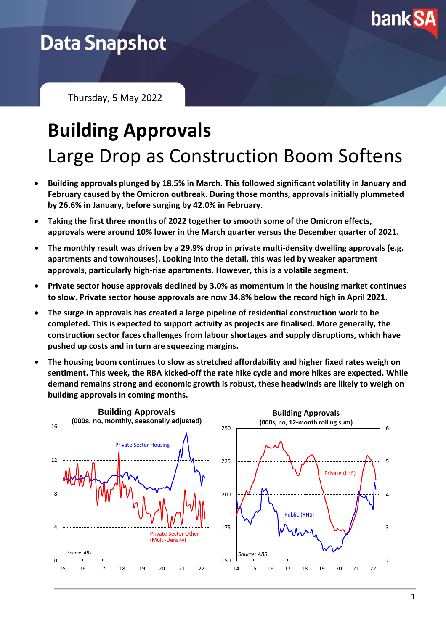

# **Data Snapshot**

Thursday, 5 May 2022

# **Building Approvals** Large Drop as Construction Boom Softens

- **Building approvals plunged by 18.5% in March. This followed significant volatility in January and February caused by the Omicron outbreak. During those months, approvals initially plummeted by 26.6% in January, before surging by 42.0% in February.**
- **Taking the first three months of 2022 together to smooth some of the Omicron effects, approvals were around 10% lower in the March quarter versus the December quarter of 2021.**
- **The monthly result was driven by a 29.9% drop in private multi-density dwelling approvals (e.g. apartments and townhouses). Looking into the detail, this was led by weaker apartment approvals, particularly high-rise apartments. However, this is a volatile segment.**
- **Private sector house approvals declined by 3.0% as momentum in the housing market continues to slow. Private sector house approvals are now 34.8% below the record high in April 2021.**
- **The surge in approvals has created a large pipeline of residential construction work to be completed. This is expected to support activity as projects are finalised. More generally, the construction sector faces challenges from labour shortages and supply disruptions, which have pushed up costs and in turn are squeezing margins.**
- **The housing boom continues to slow as stretched affordability and higher fixed rates weigh on sentiment. This week, the RBA kicked-off the rate hike cycle and more hikes are expected. While demand remains strong and economic growth is robust, these headwinds are likely to weigh on building approvals in coming months.**

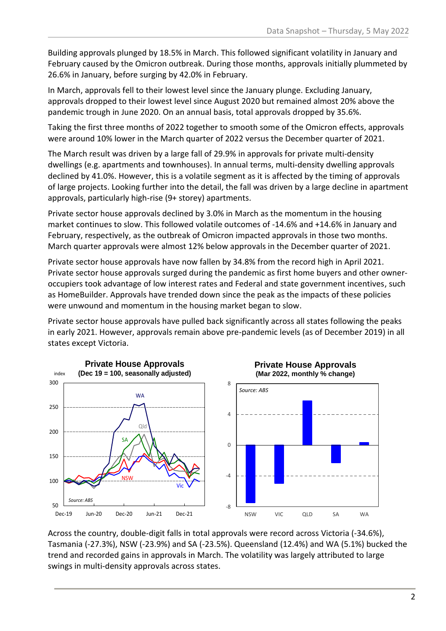Building approvals plunged by 18.5% in March. This followed significant volatility in January and February caused by the Omicron outbreak. During those months, approvals initially plummeted by 26.6% in January, before surging by 42.0% in February.

In March, approvals fell to their lowest level since the January plunge. Excluding January, approvals dropped to their lowest level since August 2020 but remained almost 20% above the pandemic trough in June 2020. On an annual basis, total approvals dropped by 35.6%.

Taking the first three months of 2022 together to smooth some of the Omicron effects, approvals were around 10% lower in the March quarter of 2022 versus the December quarter of 2021.

The March result was driven by a large fall of 29.9% in approvals for private multi-density dwellings (e.g. apartments and townhouses). In annual terms, multi-density dwelling approvals declined by 41.0%. However, this is a volatile segment as it is affected by the timing of approvals of large projects. Looking further into the detail, the fall was driven by a large decline in apartment approvals, particularly high-rise (9+ storey) apartments.

Private sector house approvals declined by 3.0% in March as the momentum in the housing market continues to slow. This followed volatile outcomes of -14.6% and +14.6% in January and February, respectively, as the outbreak of Omicron impacted approvals in those two months. March quarter approvals were almost 12% below approvals in the December quarter of 2021.

Private sector house approvals have now fallen by 34.8% from the record high in April 2021. Private sector house approvals surged during the pandemic as first home buyers and other owneroccupiers took advantage of low interest rates and Federal and state government incentives, such as HomeBuilder. Approvals have trended down since the peak as the impacts of these policies were unwound and momentum in the housing market began to slow.

Private sector house approvals have pulled back significantly across all states following the peaks in early 2021. However, approvals remain above pre-pandemic levels (as of December 2019) in all states except Victoria.



Across the country, double-digit falls in total approvals were record across Victoria (-34.6%), Tasmania (-27.3%), NSW (-23.9%) and SA (-23.5%). Queensland (12.4%) and WA (5.1%) bucked the trend and recorded gains in approvals in March. The volatility was largely attributed to large swings in multi-density approvals across states.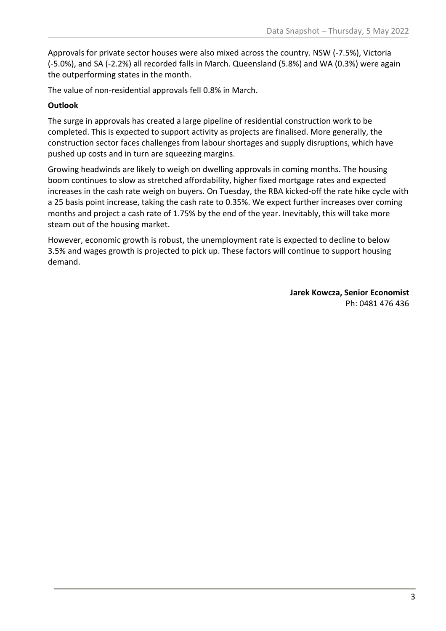Approvals for private sector houses were also mixed across the country. NSW (-7.5%), Victoria (-5.0%), and SA (-2.2%) all recorded falls in March. Queensland (5.8%) and WA (0.3%) were again the outperforming states in the month.

The value of non-residential approvals fell 0.8% in March.

## **Outlook**

The surge in approvals has created a large pipeline of residential construction work to be completed. This is expected to support activity as projects are finalised. More generally, the construction sector faces challenges from labour shortages and supply disruptions, which have pushed up costs and in turn are squeezing margins.

Growing headwinds are likely to weigh on dwelling approvals in coming months. The housing boom continues to slow as stretched affordability, higher fixed mortgage rates and expected increases in the cash rate weigh on buyers. On Tuesday, the RBA kicked-off the rate hike cycle with a 25 basis point increase, taking the cash rate to 0.35%. We expect further increases over coming months and project a cash rate of 1.75% by the end of the year. Inevitably, this will take more steam out of the housing market.

However, economic growth is robust, the unemployment rate is expected to decline to below 3.5% and wages growth is projected to pick up. These factors will continue to support housing demand.

> **Jarek Kowcza, Senior Economist** Ph: 0481 476 436